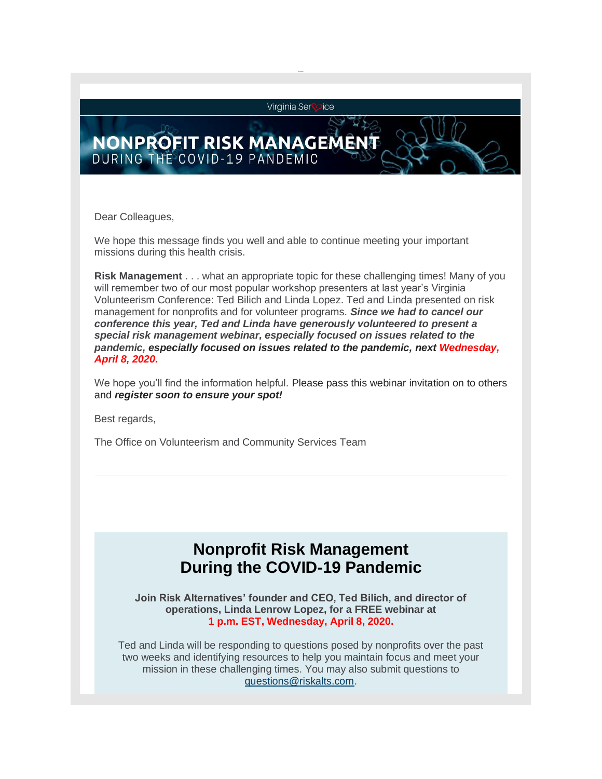Virginia Ser **lice** 

## **NONPROFIT RISK MANAGEME** DURING THE COVID-19 PANDEMIC

Dear Colleagues,

We hope this message finds you well and able to continue meeting your important missions during this health crisis.

**Risk Management** . . . what an appropriate topic for these challenging times! Many of you will remember two of our most popular workshop presenters at last year's Virginia Volunteerism Conference: Ted Bilich and Linda Lopez. Ted and Linda presented on risk management for nonprofits and for volunteer programs. *Since we had to cancel our conference this year, Ted and Linda have generously volunteered to present a special risk management webinar, especially focused on issues related to the pandemic, especially focused on issues related to the pandemic, next Wednesday, April 8, 2020.*

We hope you'll find the information helpful. Please pass this webinar invitation on to others and *register soon to ensure your spot!*

Best regards,

The Office on Volunteerism and Community Services Team

## **Nonprofit Risk Management During the COVID-19 Pandemic**

**Join Risk Alternatives' founder and CEO, Ted Bilich, and director of operations, Linda Lenrow Lopez, for a FREE webinar at 1 p.m. EST, Wednesday, April 8, 2020.**

Ted and Linda will be responding to questions posed by nonprofits over the past two weeks and identifying resources to help you maintain focus and meet your mission in these challenging times. You may also submit questions to [questions@riskalts.com.](mailto:questions@riskalts.com)